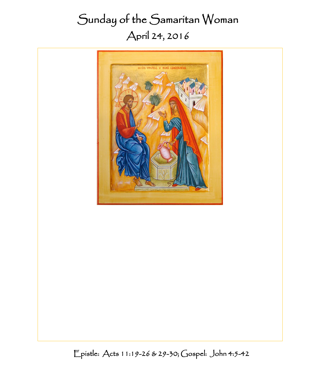# Sunday of the Samaritan Woman April 24, 2016



Epistle: Acts 11:19-26 & 29-30; Gospel: John 4:5-42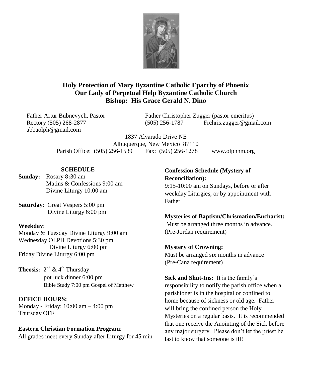

#### **Holy Protection of Mary Byzantine Catholic Eparchy of Phoenix Our Lady of Perpetual Help Byzantine Catholic Church Bishop: His Grace Gerald N. Dino**

abbaolph@gmail.com

Father Artur Bubnevych, Pastor Father Christopher Zugger (pastor emeritus) Rectory (505) 268-2877 (505) 256-1787 Frchris.zugger@gmail.com

> 1837 Alvarado Drive NE Albuquerque, New Mexico 87110 Parish Office: (505) 256-1539 Fax: (505) 256-1278 www.olphnm.org

#### **SCHEDULE**

**Sunday:** Rosary 8**:**30 am Matins & Confessions 9:00 am Divine Liturgy 10:00 am

**Saturday**: Great Vespers 5:00 pm Divine Liturgy 6:00 pm

#### **Weekday**:

Monday & Tuesday Divine Liturgy 9:00 am Wednesday OLPH Devotions 5:30 pm Divine Liturgy 6:00 pm Friday Divine Liturgy 6:00 pm

**Theosis:**  $2^{nd}$  & 4<sup>th</sup> Thursday pot luck dinner 6:00 pm Bible Study 7:00 pm Gospel of Matthew

**OFFICE HOURS:**

Monday - Friday: 10:00 am – 4:00 pm Thursday OFF

#### **Eastern Christian Formation Program:**

All grades meet every Sunday after Liturgy for 45 min

## **Confession Schedule (Mystery of Reconciliation):**

9:15-10:00 am on Sundays, before or after weekday Liturgies, or by appointment with Father

#### **Mysteries of Baptism/Chrismation/Eucharist:**

Must be arranged three months in advance. (Pre-Jordan requirement)

**Mystery of Crowning:** Must be arranged six months in advance (Pre-Cana requirement)

**Sick and Shut-Ins:** It is the family's

responsibility to notify the parish office when a parishioner is in the hospital or confined to home because of sickness or old age. Father will bring the confined person the Holy Mysteries on a regular basis. It is recommended that one receive the Anointing of the Sick before any major surgery. Please don't let the priest be last to know that someone is ill!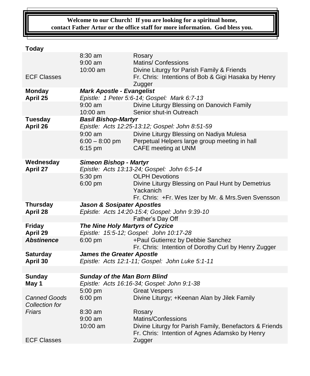#### **Welcome to our Church! If you are looking for a spiritual home, contact Father Artur or the office staff for more information. God bless you.**

# **Today**

|                            | 8:30 am                                                                                  | Rosary                                                                                                    |  |  |  |
|----------------------------|------------------------------------------------------------------------------------------|-----------------------------------------------------------------------------------------------------------|--|--|--|
|                            | $9:00$ am<br>10:00 am                                                                    | <b>Matins/ Confessions</b><br>Divine Liturgy for Parish Family & Friends                                  |  |  |  |
| <b>ECF Classes</b>         |                                                                                          | Fr. Chris: Intentions of Bob & Gigi Hasaka by Henry                                                       |  |  |  |
|                            |                                                                                          | Zugger                                                                                                    |  |  |  |
| <b>Monday</b>              | <b>Mark Apostle - Evangelist</b>                                                         |                                                                                                           |  |  |  |
| April 25                   | Epistle: 1 Peter 5:6-14; Gospel: Mark 6:7-13                                             |                                                                                                           |  |  |  |
|                            | $9:00$ am                                                                                | Divine Liturgy Blessing on Danovich Family                                                                |  |  |  |
|                            | 10:00 am                                                                                 | Senior shut-in Outreach                                                                                   |  |  |  |
| <b>Tuesday</b><br>April 26 | <b>Basil Bishop-Martyr</b><br>Epistle: Acts 12:25-13:12; Gospel: John 8:51-59            |                                                                                                           |  |  |  |
|                            | $9:00$ am                                                                                | Divine Liturgy Blessing on Nadiya Mulesa                                                                  |  |  |  |
|                            | $6:00 - 8:00$ pm                                                                         | Perpetual Helpers large group meeting in hall                                                             |  |  |  |
|                            | $6:15$ pm                                                                                | CAFE meeting at UNM                                                                                       |  |  |  |
|                            |                                                                                          |                                                                                                           |  |  |  |
| Wednesday                  | <b>Simeon Bishop - Martyr</b>                                                            |                                                                                                           |  |  |  |
| April 27                   |                                                                                          | Epistle: Acts 13:13-24; Gospel: John 6:5-14                                                               |  |  |  |
|                            | 5:30 pm                                                                                  | <b>OLPH Devotions</b>                                                                                     |  |  |  |
|                            | 6:00 pm                                                                                  | Divine Liturgy Blessing on Paul Hunt by Demetrius<br>Yackanich                                            |  |  |  |
|                            |                                                                                          | Fr. Chris: +Fr. Wes Izer by Mr. & Mrs. Sven Svensson                                                      |  |  |  |
| <b>Thursday</b>            | <b>Jason &amp; Sosipater Apostles</b>                                                    |                                                                                                           |  |  |  |
| April 28                   | Epistle: Acts 14:20-15:4; Gospel: John 9:39-10                                           |                                                                                                           |  |  |  |
|                            |                                                                                          | Father's Day Off                                                                                          |  |  |  |
| <b>Friday</b>              | The Nine Holy Martyrs of Cyzice                                                          |                                                                                                           |  |  |  |
| April 29                   |                                                                                          | Epistle: 15:5-12; Gospel: John 10:17-28                                                                   |  |  |  |
| <b>Abstinence</b>          | $6:00$ pm                                                                                | +Paul Gutierrez by Debbie Sanchez                                                                         |  |  |  |
| <b>Saturday</b>            | Fr. Chris: Intention of Dorothy Curl by Henry Zugger<br><b>James the Greater Apostle</b> |                                                                                                           |  |  |  |
| April 30                   | Epistle: Acts 12:1-11; Gospel: John Luke 5:1-11                                          |                                                                                                           |  |  |  |
|                            |                                                                                          |                                                                                                           |  |  |  |
| <b>Sunday</b>              | <b>Sunday of the Man Born Blind</b>                                                      |                                                                                                           |  |  |  |
| May 1                      |                                                                                          | Epistle: Acts 16:16-34; Gospel: John 9:1-38                                                               |  |  |  |
|                            |                                                                                          |                                                                                                           |  |  |  |
|                            | 5:00 pm                                                                                  | <b>Great Vespers</b>                                                                                      |  |  |  |
| <b>Canned Goods</b>        | 6:00 pm                                                                                  | Divine Liturgy; +Keenan Alan by Jilek Family                                                              |  |  |  |
| Collection for             |                                                                                          |                                                                                                           |  |  |  |
| Friars                     | 8:30 am                                                                                  | Rosary                                                                                                    |  |  |  |
|                            | $9:00$ am                                                                                | Matins/Confessions                                                                                        |  |  |  |
|                            | 10:00 am                                                                                 | Divine Liturgy for Parish Family, Benefactors & Friends<br>Fr. Chris: Intention of Agnes Adamsko by Henry |  |  |  |
| <b>ECF Classes</b>         |                                                                                          | Zugger                                                                                                    |  |  |  |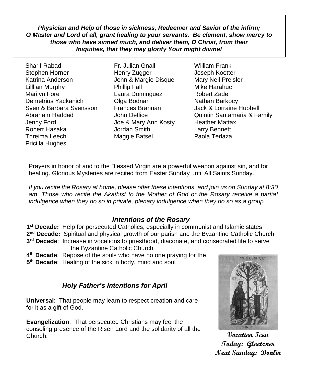*Physician and Help of those in sickness, Redeemer and Savior of the infirm; O Master and Lord of all, grant healing to your servants. Be clement, show mercy to those who have sinned much, and deliver them, O Christ, from their Iniquities, that they may glorify Your might divine!*

Sharif Rabadi Fr. Julian Gnall William Frank Stephen Horner Thenry Zugger Thenry Zugger and Joseph Koetter Katrina Anderson John & Margie Disque Mary Nell Preisler Lilllian Murphy Phillip Fall Mike Harahuc Marilyn Fore **Laura Dominguez** Robert Zadel Demetrius Yackanich **Olga Bodnar** Nathan Barkocy Sven & Barbara Svensson Frances Brannan Jack & Lorraine Hubbell Jenny Ford Joe & Mary Ann Kosty Heather Mattax Robert Hasaka Jordan Smith Larry Bennett Threima Leech Maggie Batsel Paola Terlaza Pricilla Hughes

Abraham Haddad John Deflice Quintin Santamaria & Family

Prayers in honor of and to the Blessed Virgin are a powerful weapon against sin, and for healing. Glorious Mysteries are recited from Easter Sunday until All Saints Sunday.

*If you recite the Rosary at home, please offer these intentions, and join us on Sunday at 8:30*  am. Those who recite the Akathist to the Mother of God or the Rosary receive a partial *indulgence when they do so in private, plenary indulgence when they do so as a group*

#### *Intentions of the Rosary*

**1 st Decade:** Help for persecuted Catholics, especially in communist and Islamic states 2<sup>nd</sup> Decade: Spiritual and physical growth of our parish and the Byzantine Catholic Church

- **3 rd Decade**: Increase in vocations to priesthood, diaconate, and consecrated life to serve the Byzantine Catholic Church
- **4 th Decade**: Repose of the souls who have no one praying for them
- **5 th Decade**: Healing of the sick in body, mind and soul

## *Holy Father's Intentions for April*

**Universal**: That people may learn to respect creation and care for it as a gift of God.

**Evangelization**: That persecuted Christians may feel the consoling presence of the Risen Lord and the solidarity of all the Church.



**Vocation Icon Today: Gloetzner Next Sunday: Donlin**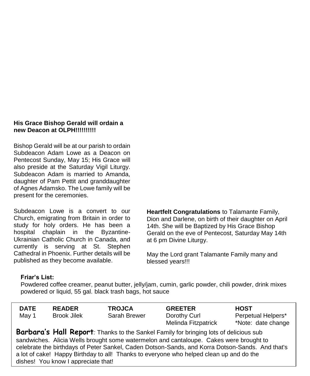#### **His Grace Bishop Gerald will ordain a new Deacon at OLPH!!!!!!!!!!**

Bishop Gerald will be at our parish to ordain Subdeacon Adam Lowe as a Deacon on Pentecost Sunday, May 15; His Grace will also preside at the Saturday Vigil Liturgy. Subdeacon Adam is married to Amanda, daughter of Pam Pettit and granddaughter of Agnes Adamsko. The Lowe family will be present for the ceremonies.

Subdeacon Lowe is a convert to our Church, emigrating from Britain in order to study for holy orders. He has been a hospital chaplain in the Byzantine-Ukrainian Catholic Church in Canada, and currently is serving at St. Stephen Cathedral in Phoenix. Further details will be published as they become available.

**Heartfelt Congratulations** to Talamante Family, Dion and Darlene, on birth of their daughter on April 14th. She will be Baptized by His Grace Bishop Gerald on the eve of Pentecost, Saturday May 14th at 6 pm Divine Liturgy.

May the Lord grant Talamante Family many and blessed vears!!!

#### **Friar's List:**

Powdered coffee creamer, peanut butter, jelly/jam, cumin, garlic powder, chili powder, drink mixes powdered or liquid, 55 gal. black trash bags, hot sauce

| <b>DATE</b> | <b>READER</b>      | <b>TROJCA</b> | <b>GREETER</b>      | <b>HOST</b>        |
|-------------|--------------------|---------------|---------------------|--------------------|
| May 1       | <b>Brook Jilek</b> | Sarah Brewer  | Dorothy Curl        | Perpetual Helpers* |
|             |                    |               | Melinda Fitzpatrick | *Note: date change |

**Barbara's Hall Report***:* Thanks to the Sankel Family for bringing lots of delicious sub sandwiches. Alicia Wells brought some watermelon and cantaloupe. Cakes were brought to celebrate the birthdays of Peter Sankel, Caden Dotson-Sands, and Korra Dotson-Sands. And that's a lot of cake! Happy Birthday to all! Thanks to everyone who helped clean up and do the dishes! You know I appreciate that!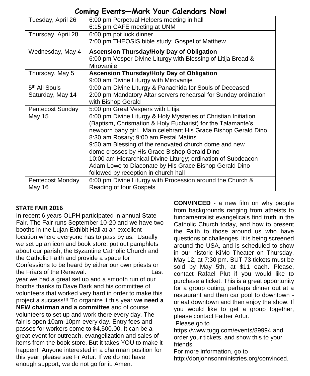# **Coming Events—Mark Your Calendars Now!**

| Tuesday, April 26         | 6:00 pm Perpetual Helpers meeting in hall                       |  |
|---------------------------|-----------------------------------------------------------------|--|
|                           | 6:15 pm CAFE meeting at UNM                                     |  |
| Thursday, April 28        | 6:00 pm pot luck dinner                                         |  |
|                           | 7:00 pm THEOSIS bible study: Gospel of Matthew                  |  |
| Wednesday, May 4          | <b>Ascension Thursday/Holy Day of Obligation</b>                |  |
|                           | 6:00 pm Vesper Divine Liturgy with Blessing of Litija Bread &   |  |
|                           | Mirovanije                                                      |  |
| Thursday, May 5           | <b>Ascension Thursday/Holy Day of Obligation</b>                |  |
|                           | 9:00 am Divine Liturgy with Mirovanije                          |  |
| 5 <sup>th</sup> All Souls | 9:00 am Divine Liturgy & Panachida for Souls of Deceased        |  |
| Saturday, May 14          | 2:00 pm Mandatory Altar servers rehearsal for Sunday ordination |  |
|                           | with Bishop Gerald                                              |  |
| Pentecost Sunday          | 5:00 pm Great Vespers with Litija                               |  |
| <b>May 15</b>             | 6:00 pm Divine Liturgy & Holy Mysteries of Christian Initiation |  |
|                           | (Baptism, Chrismation & Holy Eucharist) for the Talamante's     |  |
|                           | newborn baby girl. Main celebrant His Grace Bishop Gerald Dino  |  |
|                           | 8:30 am Rosary; 9:00 am Festal Matins                           |  |
|                           | 9:50 am Blessing of the renovated church dome and new           |  |
|                           | dome crosses by His Grace Bishop Gerald Dino                    |  |
|                           | 10:00 am Hierarchical Divine Liturgy; ordination of Subdeacon   |  |
|                           | Adam Lowe to Diaconate by His Grace Bishop Gerald Dino          |  |
|                           | followed by reception in church hall                            |  |
| Pentecost Monday          | 6:00 pm Divine Liturgy with Procession around the Church &      |  |
| May 16                    | Reading of four Gospels                                         |  |

#### **STATE FAIR 2016**

In recent 6 years OLPH participated in annual State Fair. The Fair runs September 10-20 and we have two booths in the Lujan Exhibit Hall at an excellent location where everyone has to pass by us. Usually we set up an icon and book store, put out pamphlets about our parish, the Byzantine Catholic Church and the Catholic Faith and provide a space for Confessions to be heard by either our own priests or the Friars of the Renewal. Last year we had a great set up and a smooth run of our booths thanks to Dave Dark and his committee of volunteers that worked very hard in order to make this project a success!!! To organize it this year **we need a NEW chairman and a committee** and of course volunteers to set up and work there every day. The fair is open 10am-10pm every day. Entry fees and passes for workers come to \$4,500.00. It can be a great event for outreach, evangelization and sales of items from the book store. But it takes YOU to make it happen! Anyone interested in a chairman position for this year, please see Fr Artur. If we do not have enough support, we do not go for it. Amen.

**CONVINCED** - a new film on why people from backgrounds ranging from atheists to fundamentalist evangelicals find truth in the Catholic Church today, and how to present the Faith to those around us who have questions or challenges. It is being screened around the USA, and is scheduled to show in our historic KiMo Theater on Thursday, May 12, at 7:30 pm. BUT 73 tickets must be sold by May 5th, at \$11 each. Please, contact Rafael Plut if you would like to purchase a ticket. This is a great opportunity for a group outing, perhaps dinner out at a restaurant and then car pool to downtown or eat downtown and then enjoy the show. If you would like to get a group together, please contact Father Artur.

Please go to

https://www.tugg.com/events/89994 and order your tickets, and show this to your friends.

For more information, go to

http://donjohnsonministries.org/convinced.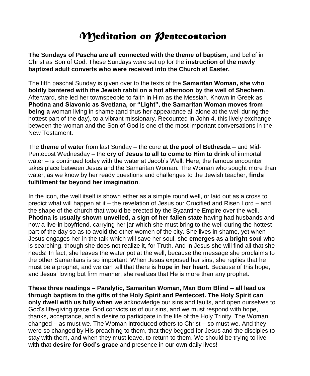# *Meditation on Pentecostarion*

**The Sundays of Pascha are all connected with the theme of baptism**, and belief in Christ as Son of God. These Sundays were set up for the **instruction of the newly baptized adult converts who were received into the Church at Easter.** 

The fifth paschal Sunday is given over to the texts of the **Samaritan Woman, she who boldly bantered with the Jewish rabbi on a hot afternoon by the well of Shechem**. Afterward, she led her townspeople to faith in Him as the Messiah. Known in Greek as **Photina and Slavonic as Svetlana, or "Light", the Samaritan Woman moves from being a** woman living in shame (and thus her appearance all alone at the well during the hottest part of the day), to a vibrant missionary. Recounted in John 4, this lively exchange between the woman and the Son of God is one of the most important conversations in the New Testament.

The **theme of water** from last Sunday – the cure **at the pool of Bethesda** – and Mid-Pentecost Wednesday – the **cry of Jesus to all to come to Him to drink** of immortal water – is continued today with the water at Jacob's Well. Here, the famous encounter takes place between Jesus and the Samaritan Woman. The Woman who sought more than water, as we know by her ready questions and challenges to the Jewish teacher, **finds fulfillment far beyond her imagination**.

In the icon, the well itself is shown either as a simple round well, or laid out as a cross to predict what will happen at it – the revelation of Jesus our Crucified and Risen Lord – and the shape of the church that would be erected by the Byzantine Empire over the well. **Photina is usually shown unveiled, a sign of her fallen state** having had husbands and now a live-in boyfriend, carrying her jar which she must bring to the well during the hottest part of the day so as to avoid the other women of the city. She lives in shame, yet when Jesus engages her in the talk which will save her soul, she **emerges as a bright soul** who is searching, though she does not realize it, for Truth. And in Jesus she will find all that she needs! In fact, she leaves the water pot at the well, because the message she proclaims to the other Samaritans is so important. When Jesus exposed her sins, she replies that he must be a prophet, and we can tell that there is **hope in her heart**. Because of this hope, and Jesus' loving but firm manner, she realizes that He is more than any prophet.

**These three readings – Paralytic, Samaritan Woman, Man Born Blind – all lead us through baptism to the gifts of the Holy Spirit and Pentecost. The Holy Spirit can only dwell with us fully when** we acknowledge our sins and faults, and open ourselves to God's life-giving grace. God convicts us of our sins, and we must respond with hope, thanks, acceptance, and a desire to participate in the life of the Holy Trinity. The Woman changed – as must we. The Woman introduced others to Christ – so must we. And they were so changed by His preaching to them, that they begged for Jesus and the disciples to stay with them, and when they must leave, to return to them. We should be trying to live with that **desire for God's grace** and presence in our own daily lives!